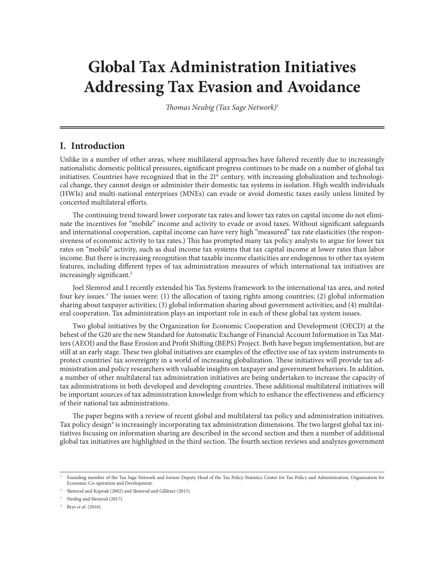# **Global Tax Administration Initiatives Addressing Tax Evasion and Avoidance**

*Thomas Neubig (Tax Sage Network)*<sup>1</sup>

## **I. Introduction**

Unlike in a number of other areas, where multilateral approaches have faltered recently due to increasingly nationalistic domestic political pressures, significant progress continues to be made on a number of global tax initiatives. Countries have recognized that in the  $21<sup>st</sup>$  century, with increasing globalization and technological change, they cannot design or administer their domestic tax systems in isolation. High wealth individuals (HWIs) and multi-national enterprises (MNEs) can evade or avoid domestic taxes easily unless limited by concerted multilateral efforts.

The continuing trend toward lower corporate tax rates and lower tax rates on capital income do not eliminate the incentives for "mobile" income and activity to evade or avoid taxes. Without significant safeguards and international cooperation, capital income can have very high "measured" tax rate elasticities (the responsiveness of economic activity to tax rates.) This has prompted many tax policy analysts to argue for lower tax rates on "mobile" activity, such as dual income tax systems that tax capital income at lower rates than labor income. But there is increasing recognition that taxable income elasticities are endogenous to other tax system features, including different types of tax administration measures of which international tax initiatives are increasingly significant.<sup>2</sup>

Joel Slemrod and I recently extended his Tax Systems framework to the international tax area, and noted four key issues.<sup>3</sup> The issues were: (1) the allocation of taxing rights among countries; (2) global information sharing about taxpayer activities; (3) global information sharing about government activities; and (4) multilateral cooperation. Tax administration plays an important role in each of these global tax system issues.

Two global initiatives by the Organization for Economic Cooperation and Development (OECD) at the behest of the G20 are the new Standard for Automatic Exchange of Financial Account Information in Tax Matters (AEOI) and the Base Erosion and Profit Shifting (BEPS) Project. Both have begun implementation, but are still at an early stage. These two global initiatives are examples of the effective use of tax system instruments to protect countries' tax sovereignty in a world of increasing globalization. These initiatives will provide tax administration and policy researchers with valuable insights on taxpayer and government behaviors. In addition, a number of other multilateral tax administration initiatives are being undertaken to increase the capacity of tax administrations in both developed and developing countries. These additional multilateral initiatives will be important sources of tax administration knowledge from which to enhance the effectiveness and efficiency of their national tax administrations.

The paper begins with a review of recent global and multilateral tax policy and administration initiatives. Tax policy design<sup>4</sup> is increasingly incorporating tax administration dimensions. The two largest global tax initiatives focusing on information sharing are described in the second section and then a number of additional global tax initiatives are highlighted in the third section. The fourth section reviews and analyzes government

<sup>1</sup> Founding member of the Tax Sage Network and former Deputy Head of the Tax Policy Statistics Center for Tax Policy and Administration, Organization for Economic Co-operation and Development.

<sup>2</sup> Slemrod and Kopzuk (2002) and Slemrod and Gillitzer (2013).

<sup>&</sup>lt;sup>3</sup> Neubig and Slemrod (2017).

<sup>4</sup> Brys *et al.* (2016).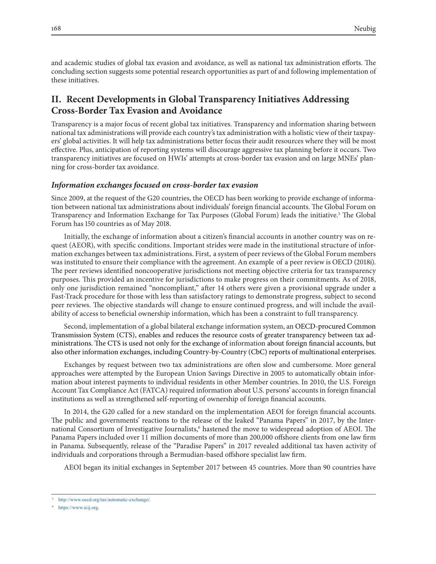and academic studies of global tax evasion and avoidance, as well as national tax administration efforts. The concluding section suggests some potential research opportunities as part of and following implementation of these initiatives.

# **II. Recent Developments in Global Transparency Initiatives Addressing Cross-Border Tax Evasion and Avoidance**

Transparency is a major focus of recent global tax initiatives. Transparency and information sharing between national tax administrations will provide each country's tax administration with a holistic view of their taxpayers' global activities. It will help tax administrations better focus their audit resources where they will be most effective. Plus, anticipation of reporting systems will discourage aggressive tax planning before it occurs. Two transparency initiatives are focused on HWIs' attempts at cross-border tax evasion and on large MNEs' planning for cross-border tax avoidance.

#### *Information exchanges focused on cross-border tax evasion*

Since 2009, at the request of the G20 countries, the OECD has been working to provide exchange of information between national tax administrations about individuals' foreign financial accounts. The Global Forum on Transparency and Information Exchange for Tax Purposes (Global Forum) leads the initiative.5 The Global Forum has 150 countries as of May 2018.

Initially, the exchange of information about a citizen's financial accounts in another country was on request (AEOR), with specific conditions. Important strides were made in the institutional structure of information exchanges between tax administrations. First, a system of peer reviews of the Global Forum members was instituted to ensure their compliance with the agreement. An example of a peer review is OECD (2018i). The peer reviews identified noncooperative jurisdictions not meeting objective criteria for tax transparency purposes. This provided an incentive for jurisdictions to make progress on their commitments. As of 2018, only one jurisdiction remained "noncompliant," after 14 others were given a provisional upgrade under a Fast-Track procedure for those with less than satisfactory ratings to demonstrate progress, subject to second peer reviews. The objective standards will change to ensure continued progress, and will include the availability of access to beneficial ownership information, which has been a constraint to full transparency.

Second, implementation of a global bilateral exchange information system, an OECD-procured Common Transmission System (CTS), enables and reduces the resource costs of greater transparency between tax administrations. The CTS is used not only for the exchange of information about foreign financial accounts, but also other information exchanges, including Country-by-Country (CbC) reports of multinational enterprises.

Exchanges by request between two tax administrations are often slow and cumbersome. More general approaches were attempted by the European Union Savings Directive in 2005 to automatically obtain information about interest payments to individual residents in other Member countries. In 2010, the U.S. Foreign Account Tax Compliance Act (FATCA) required information about U.S. persons' accounts in foreign financial institutions as well as strengthened self-reporting of ownership of foreign financial accounts.

In 2014, the G20 called for a new standard on the implementation AEOI for foreign financial accounts. The public and governments' reactions to the release of the leaked "Panama Papers" in 2017, by the International Consortium of Investigative Journalists,<sup>6</sup> hastened the move to widespread adoption of AEOI. The Panama Papers included over 11 million documents of more than 200,000 offshore clients from one law firm in Panama. Subsequently, release of the "Paradise Papers" in 2017 revealed additional tax haven activity of individuals and corporations through a Bermudian-based offshore specialist law firm.

AEOI began its initial exchanges in September 2017 between 45 countries. More than 90 countries have

<sup>5</sup> http://www.oecd.org/tax/automatic-exchange/.

<sup>6</sup> https://www.icij.org.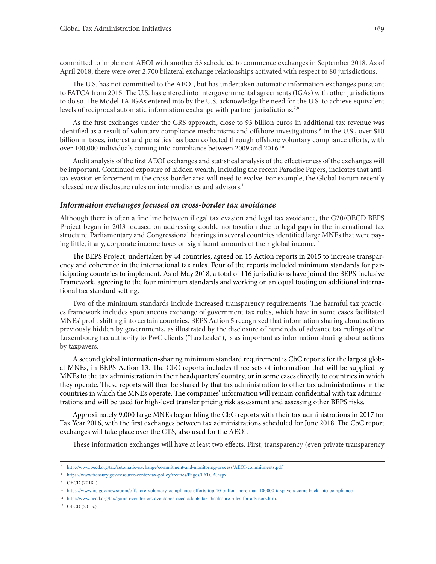committed to implement AEOI with another 53 scheduled to commence exchanges in September 2018. As of April 2018, there were over 2,700 bilateral exchange relationships activated with respect to 80 jurisdictions.

The U.S. has not committed to the AEOI, but has undertaken automatic information exchanges pursuant to FATCA from 2015. The U.S. has entered into intergovernmental agreements (IGAs) with other jurisdictions to do so. The Model 1A IGAs entered into by the U.S. acknowledge the need for the U.S. to achieve equivalent levels of reciprocal automatic information exchange with partner jurisdictions.<sup>7,8</sup>

As the first exchanges under the CRS approach, close to 93 billion euros in additional tax revenue was identified as a result of voluntary compliance mechanisms and offshore investigations.<sup>9</sup> In the U.S., over \$10 billion in taxes, interest and penalties has been collected through offshore voluntary compliance efforts, with over 100,000 individuals coming into compliance between 2009 and 2016.10

Audit analysis of the first AEOI exchanges and statistical analysis of the effectiveness of the exchanges will be important. Continued exposure of hidden wealth, including the recent Paradise Papers, indicates that antitax evasion enforcement in the cross-border area will need to evolve. For example, the Global Forum recently released new disclosure rules on intermediaries and advisors.11

#### *Information exchanges focused on cross-border tax avoidance*

Although there is often a fine line between illegal tax evasion and legal tax avoidance, the G20/OECD BEPS Project began in 2013 focused on addressing double nontaxation due to legal gaps in the international tax structure. Parliamentary and Congressional hearings in several countries identified large MNEs that were paying little, if any, corporate income taxes on significant amounts of their global income.<sup>12</sup>

The BEPS Project, undertaken by 44 countries, agreed on 15 Action reports in 2015 to increase transparency and coherence in the international tax rules. Four of the reports included minimum standards for participating countries to implement. As of May 2018, a total of 116 jurisdictions have joined the BEPS Inclusive Framework, agreeing to the four minimum standards and working on an equal footing on additional international tax standard setting.

Two of the minimum standards include increased transparency requirements. The harmful tax practices framework includes spontaneous exchange of government tax rules, which have in some cases facilitated MNEs' profit shifting into certain countries. BEPS Action 5 recognized that information sharing about actions previously hidden by governments, as illustrated by the disclosure of hundreds of advance tax rulings of the Luxembourg tax authority to PwC clients ("LuxLeaks"), is as important as information sharing about actions by taxpayers.

A second global information-sharing minimum standard requirement is CbC reports for the largest global MNEs, in BEPS Action 13. The CbC reports includes three sets of information that will be supplied by MNEs to the tax administration in their headquarters' country, or in some cases directly to countries in which they operate. These reports will then be shared by that tax administration to other tax administrations in the countries in which the MNEs operate. The companies' information will remain confidential with tax administrations and will be used for high-level transfer pricing risk assessment and assessing other BEPS risks.

Approximately 9,000 large MNEs began filing the CbC reports with their tax administrations in 2017 for Tax Year 2016, with the first exchanges between tax administrations scheduled for June 2018. The CbC report exchanges will take place over the CTS, also used for the AEOI.

These information exchanges will have at least two effects. First, transparency (even private transparency

<sup>7</sup> http://www.oecd.org/tax/automatic-exchange/commitment-and-monitoring-process/AEOI-commitments.pdf.

<sup>8</sup> https://www.treasury.gov/resource-center/tax-policy/treaties/Pages/FATCA.aspx.

<sup>9</sup> OECD (2018h).

<sup>10</sup> https://www.irs.gov/newsroom/offshore-voluntary-compliance-efforts-top-10-billion-more-than-100000-taxpayers-come-back-into-compliance.

<sup>11</sup> http://www.oecd.org/tax/game-over-for-crs-avoidance-oecd-adopts-tax-disclosure-rules-for-advisors.htm.

 $12$  OECD (2015c).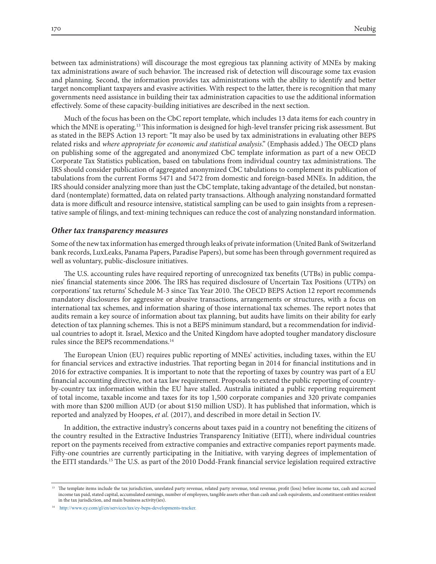between tax administrations) will discourage the most egregious tax planning activity of MNEs by making tax administrations aware of such behavior. The increased risk of detection will discourage some tax evasion and planning. Second, the information provides tax administrations with the ability to identify and better target noncompliant taxpayers and evasive activities. With respect to the latter, there is recognition that many governments need assistance in building their tax administration capacities to use the additional information effectively. Some of these capacity-building initiatives are described in the next section.

Much of the focus has been on the CbC report template, which includes 13 data items for each country in which the MNE is operating.13 This information is designed for high-level transfer pricing risk assessment. But as stated in the BEPS Action 13 report: "It may also be used by tax administrations in evaluating other BEPS related risks and *where appropriate for economic and statistical analysis*." (Emphasis added.) The OECD plans on publishing some of the aggregated and anonymized CbC template information as part of a new OECD Corporate Tax Statistics publication, based on tabulations from individual country tax administrations. The IRS should consider publication of aggregated anonymized CbC tabulations to complement its publication of tabulations from the current Forms 5471 and 5472 from domestic and foreign-based MNEs. In addition, the IRS should consider analyzing more than just the CbC template, taking advantage of the detailed, but nonstandard (nontemplate) formatted, data on related party transactions. Although analyzing nonstandard formatted data is more difficult and resource intensive, statistical sampling can be used to gain insights from a representative sample of filings, and text-mining techniques can reduce the cost of analyzing nonstandard information.

#### *Other tax transparency measures*

Some of the new tax information has emerged through leaks of private information (United Bank of Switzerland bank records, LuxLeaks, Panama Papers, Paradise Papers), but some has been through government required as well as voluntary, public-disclosure initiatives.

The U.S. accounting rules have required reporting of unrecognized tax benefits (UTBs) in public companies' financial statements since 2006. The IRS has required disclosure of Uncertain Tax Positions (UTPs) on corporations' tax returns' Schedule M-3 since Tax Year 2010. The OECD BEPS Action 12 report recommends mandatory disclosures for aggressive or abusive transactions, arrangements or structures, with a focus on international tax schemes, and information sharing of those international tax schemes. The report notes that audits remain a key source of information about tax planning, but audits have limits on their ability for early detection of tax planning schemes. This is not a BEPS minimum standard, but a recommendation for individual countries to adopt it. Israel, Mexico and the United Kingdom have adopted tougher mandatory disclosure rules since the BEPS recommendations.14

The European Union (EU) requires public reporting of MNEs' activities, including taxes, within the EU for financial services and extractive industries. That reporting began in 2014 for financial institutions and in 2016 for extractive companies. It is important to note that the reporting of taxes by country was part of a EU financial accounting directive, not a tax law requirement. Proposals to extend the public reporting of countryby-country tax information within the EU have stalled. Australia initiated a public reporting requirement of total income, taxable income and taxes for its top 1,500 corporate companies and 320 private companies with more than \$200 million AUD (or about \$150 million USD). It has published that information, which is reported and analyzed by Hoopes, *et al.* (2017), and described in more detail in Section IV.

In addition, the extractive industry's concerns about taxes paid in a country not benefiting the citizens of the country resulted in the Extractive Industries Transparency Initiative (EITI), where individual countries report on the payments received from extractive companies and extractive companies report payments made. Fifty-one countries are currently participating in the Initiative, with varying degrees of implementation of the EITI standards.15 The U.S. as part of the 2010 Dodd-Frank financial service legislation required extractive

<sup>&</sup>lt;sup>13</sup> The template items include the tax jurisdiction, unrelated party revenue, related party revenue, total revenue, profit (loss) before income tax, cash and accrued income tax paid, stated capital, accumulated earnings, number of employees, tangible assets other than cash and cash equivalents, and constituent entities resident in the tax jurisdiction, and main business activity(ies).

<sup>14</sup> http://www.ey.com/gl/en/services/tax/ey-beps-developments-tracker.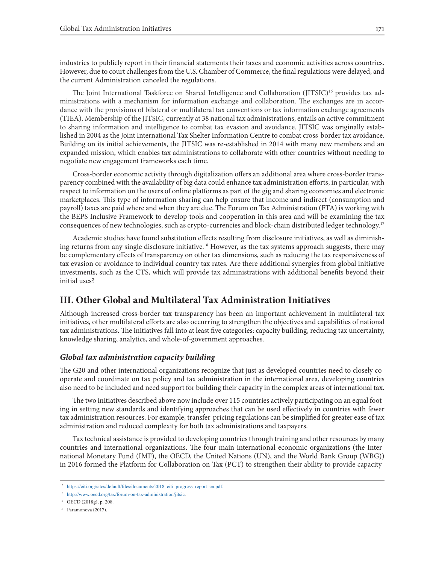industries to publicly report in their financial statements their taxes and economic activities across countries. However, due to court challenges from the U.S. Chamber of Commerce, the final regulations were delayed, and the current Administration canceled the regulations.

The Joint International Taskforce on Shared Intelligence and Collaboration (JITSIC)<sup>16</sup> provides tax administrations with a mechanism for information exchange and collaboration. The exchanges are in accordance with the provisions of bilateral or multilateral tax conventions or tax information exchange agreements (TIEA). Membership of the JITSIC, currently at 38 national tax administrations, entails an active commitment to sharing information and intelligence to combat tax evasion and avoidance. JITSIC was originally established in 2004 as the Joint International Tax Shelter Information Centre to combat cross-border tax avoidance. Building on its initial achievements, the JITSIC was re-established in 2014 with many new members and an expanded mission, which enables tax administrations to collaborate with other countries without needing to negotiate new engagement frameworks each time.

Cross-border economic activity through digitalization offers an additional area where cross-border transparency combined with the availability of big data could enhance tax administration efforts, in particular, with respect to information on the users of online platforms as part of the gig and sharing economies and electronic marketplaces. This type of information sharing can help ensure that income and indirect (consumption and payroll) taxes are paid where and when they are due. The Forum on Tax Administration (FTA) is working with the BEPS Inclusive Framework to develop tools and cooperation in this area and will be examining the tax consequences of new technologies, such as crypto-currencies and block-chain distributed ledger technology.17

Academic studies have found substitution effects resulting from disclosure initiatives, as well as diminishing returns from any single disclosure initiative.18 However, as the tax systems approach suggests, there may be complementary effects of transparency on other tax dimensions, such as reducing the tax responsiveness of tax evasion or avoidance to individual country tax rates. Are there additional synergies from global initiative investments, such as the CTS, which will provide tax administrations with additional benefits beyond their initial uses?

## **III. Other Global and Multilateral Tax Administration Initiatives**

Although increased cross-border tax transparency has been an important achievement in multilateral tax initiatives, other multilateral efforts are also occurring to strengthen the objectives and capabilities of national tax administrations. The initiatives fall into at least five categories: capacity building, reducing tax uncertainty, knowledge sharing, analytics, and whole-of-government approaches.

#### *Global tax administration capacity building*

The G20 and other international organizations recognize that just as developed countries need to closely cooperate and coordinate on tax policy and tax administration in the international area, developing countries also need to be included and need support for building their capacity in the complex areas of international tax.

The two initiatives described above now include over 115 countries actively participating on an equal footing in setting new standards and identifying approaches that can be used effectively in countries with fewer tax administration resources. For example, transfer-pricing regulations can be simplified for greater ease of tax administration and reduced complexity for both tax administrations and taxpayers.

Tax technical assistance is provided to developing countries through training and other resources by many countries and international organizations. The four main international economic organizations (the International Monetary Fund (IMF), the OECD, the United Nations (UN), and the World Bank Group (WBG)) in 2016 formed the Platform for Collaboration on Tax (PCT) to strengthen their ability to provide capacity-

<sup>15</sup> https://eiti.org/sites/default/files/documents/2018\_eiti\_progress\_report\_en.pdf.

<sup>16</sup> http://www.oecd.org/tax/forum-on-tax-administration/jitsic.

<sup>17</sup> OECD (2018g), p. 208.

<sup>18</sup> Paramonova (2017).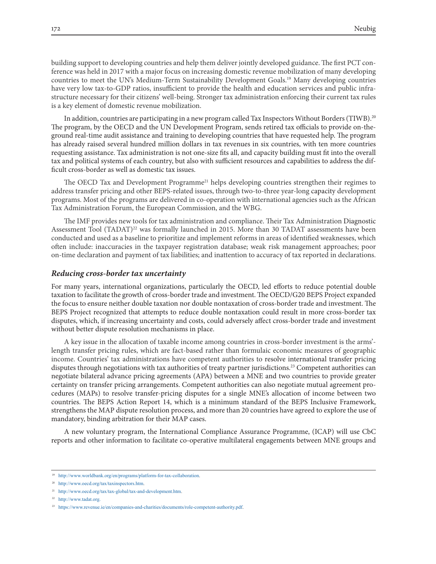building support to developing countries and help them deliver jointly developed guidance. The first PCT conference was held in 2017 with a major focus on increasing domestic revenue mobilization of many developing countries to meet the UN's Medium-Term Sustainability Development Goals.19 Many developing countries have very low tax-to-GDP ratios, insufficient to provide the health and education services and public infrastructure necessary for their citizens' well-being. Stronger tax administration enforcing their current tax rules is a key element of domestic revenue mobilization.

In addition, countries are participating in a new program called Tax Inspectors Without Borders (TIWB).20 The program, by the OECD and the UN Development Program, sends retired tax officials to provide on-theground real-time audit assistance and training to developing countries that have requested help. The program has already raised several hundred million dollars in tax revenues in six countries, with ten more countries requesting assistance. Tax administration is not one-size fits all, and capacity building must fit into the overall tax and political systems of each country, but also with sufficient resources and capabilities to address the difficult cross-border as well as domestic tax issues.

The OECD Tax and Development Programme<sup>21</sup> helps developing countries strengthen their regimes to address transfer pricing and other BEPS-related issues, through two-to-three year-long capacity development programs. Most of the programs are delivered in co-operation with international agencies such as the African Tax Administration Forum, the European Commission, and the WBG.

The IMF provides new tools for tax administration and compliance. Their Tax Administration Diagnostic Assessment Tool (TADAT)<sup>22</sup> was formally launched in 2015. More than 30 TADAT assessments have been conducted and used as a baseline to prioritize and implement reforms in areas of identified weaknesses, which often include: inaccuracies in the taxpayer registration database; weak risk management approaches; poor on-time declaration and payment of tax liabilities; and inattention to accuracy of tax reported in declarations.

#### *Reducing cross-border tax uncertainty*

For many years, international organizations, particularly the OECD, led efforts to reduce potential double taxation to facilitate the growth of cross-border trade and investment. The OECD/G20 BEPS Project expanded the focus to ensure neither double taxation nor double nontaxation of cross-border trade and investment. The BEPS Project recognized that attempts to reduce double nontaxation could result in more cross-border tax disputes, which, if increasing uncertainty and costs, could adversely affect cross-border trade and investment without better dispute resolution mechanisms in place.

A key issue in the allocation of taxable income among countries in cross-border investment is the arms' length transfer pricing rules, which are fact-based rather than formulaic economic measures of geographic income. Countries' tax administrations have competent authorities to resolve international transfer pricing disputes through negotiations with tax authorities of treaty partner jurisdictions.<sup>23</sup> Competent authorities can negotiate bilateral advance pricing agreements (APA) between a MNE and two countries to provide greater certainty on transfer pricing arrangements. Competent authorities can also negotiate mutual agreement procedures (MAPs) to resolve transfer-pricing disputes for a single MNE's allocation of income between two countries. The BEPS Action Report 14, which is a minimum standard of the BEPS Inclusive Framework, strengthens the MAP dispute resolution process, and more than 20 countries have agreed to explore the use of mandatory, binding arbitration for their MAP cases.

A new voluntary program, the International Compliance Assurance Programme, (ICAP) will use CbC reports and other information to facilitate co-operative multilateral engagements between MNE groups and

<sup>19</sup> http://www.worldbank.org/en/programs/platform-for-tax-collaboration.

<sup>20</sup> http://www.oecd.org/tax/taxinspectors.htm.

<sup>21</sup> http://www.oecd.org/tax/tax-global/tax-and-development.htm.

<sup>22</sup> http://www.tadat.org.

<sup>&</sup>lt;sup>23</sup> https://www.revenue.ie/en/companies-and-charities/documents/role-competent-authority.pdf.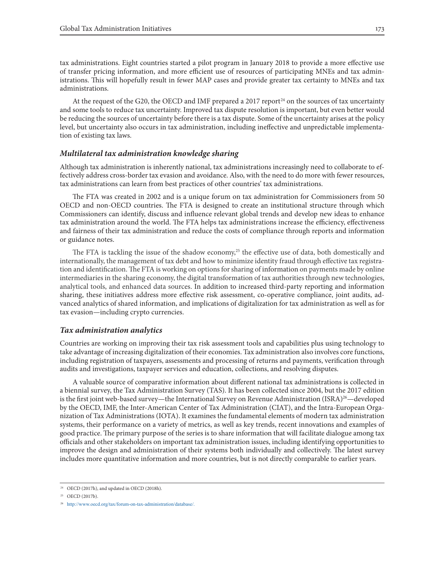tax administrations. Eight countries started a pilot program in January 2018 to provide a more effective use of transfer pricing information, and more efficient use of resources of participating MNEs and tax administrations. This will hopefully result in fewer MAP cases and provide greater tax certainty to MNEs and tax administrations.

At the request of the G20, the OECD and IMF prepared a 2017 report<sup>24</sup> on the sources of tax uncertainty and some tools to reduce tax uncertainty. Improved tax dispute resolution is important, but even better would be reducing the sources of uncertainty before there is a tax dispute. Some of the uncertainty arises at the policy level, but uncertainty also occurs in tax administration, including ineffective and unpredictable implementation of existing tax laws.

#### *Multilateral tax administration knowledge sharing*

Although tax administration is inherently national, tax administrations increasingly need to collaborate to effectively address cross-border tax evasion and avoidance. Also, with the need to do more with fewer resources, tax administrations can learn from best practices of other countries' tax administrations.

The FTA was created in 2002 and is a unique forum on tax administration for Commissioners from 50 OECD and non-OECD countries. The FTA is designed to create an institutional structure through which Commissioners can identify, discuss and influence relevant global trends and develop new ideas to enhance tax administration around the world. The FTA helps tax administrations increase the efficiency, effectiveness and fairness of their tax administration and reduce the costs of compliance through reports and information or guidance notes.

The FTA is tackling the issue of the shadow economy,<sup>25</sup> the effective use of data, both domestically and internationally, the management of tax debt and how to minimize identity fraud through effective tax registration and identification. The FTA is working on options for sharing of information on payments made by online intermediaries in the sharing economy, the digital transformation of tax authorities through new technologies, analytical tools, and enhanced data sources. In addition to increased third-party reporting and information sharing, these initiatives address more effective risk assessment, co-operative compliance, joint audits, advanced analytics of shared information, and implications of digitalization for tax administration as well as for tax evasion—including crypto currencies.

#### *Tax administration analytics*

Countries are working on improving their tax risk assessment tools and capabilities plus using technology to take advantage of increasing digitalization of their economies. Tax administration also involves core functions, including registration of taxpayers, assessments and processing of returns and payments, verification through audits and investigations, taxpayer services and education, collections, and resolving disputes.

A valuable source of comparative information about different national tax administrations is collected in a biennial survey, the Tax Administration Survey (TAS). It has been collected since 2004, but the 2017 edition is the first joint web-based survey—the International Survey on Revenue Administration (ISRA)<sup>26</sup>—developed by the OECD, IMF, the Inter-American Center of Tax Administration (CIAT), and the Intra-European Organization of Tax Administrations (IOTA). It examines the fundamental elements of modern tax administration systems, their performance on a variety of metrics, as well as key trends, recent innovations and examples of good practice. The primary purpose of the series is to share information that will facilitate dialogue among tax officials and other stakeholders on important tax administration issues, including identifying opportunities to improve the design and administration of their systems both individually and collectively. The latest survey includes more quantitative information and more countries, but is not directly comparable to earlier years.

<sup>24</sup> OECD (2017h), and updated in OECD (2018h).

<sup>25</sup> OECD (2017b).

<sup>26</sup> http://www.oecd.org/tax/forum-on-tax-administration/database/.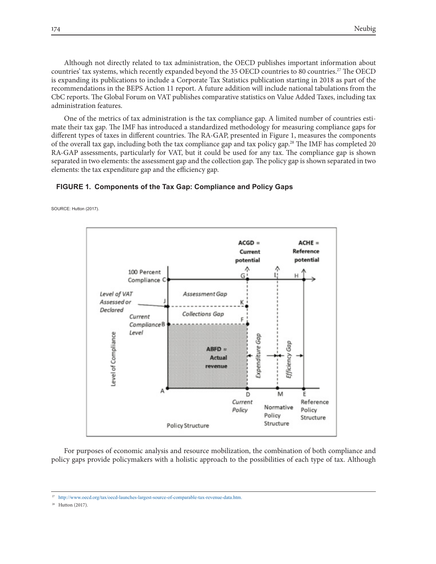Although not directly related to tax administration, the OECD publishes important information about countries' tax systems, which recently expanded beyond the 35 OECD countries to 80 countries.<sup>27</sup> The OECD is expanding its publications to include a Corporate Tax Statistics publication starting in 2018 as part of the recommendations in the BEPS Action 11 report. A future addition will include national tabulations from the CbC reports. The Global Forum on VAT publishes comparative statistics on Value Added Taxes, including tax administration features.

One of the metrics of tax administration is the tax compliance gap. A limited number of countries estimate their tax gap. The IMF has introduced a standardized methodology for measuring compliance gaps for different types of taxes in different countries. The RA-GAP, presented in Figure 1, measures the components of the overall tax gap, including both the tax compliance gap and tax policy gap.28 The IMF has completed 20 RA-GAP assessments, particularly for VAT, but it could be used for any tax. The compliance gap is shown separated in two elements: the assessment gap and the collection gap. The policy gap is shown separated in two elements: the tax expenditure gap and the efficiency gap.

#### **FIGURE 1. Components of the Tax Gap: Compliance and Policy Gaps**

SOURCE: Hutton (2017).



For purposes of economic analysis and resource mobilization, the combination of both compliance and policy gaps provide policymakers with a holistic approach to the possibilities of each type of tax. Although

<sup>28</sup> Hutton (2017).

<sup>27</sup> http://www.oecd.org/tax/oecd-launches-largest-source-of-comparable-tax-revenue-data.htm.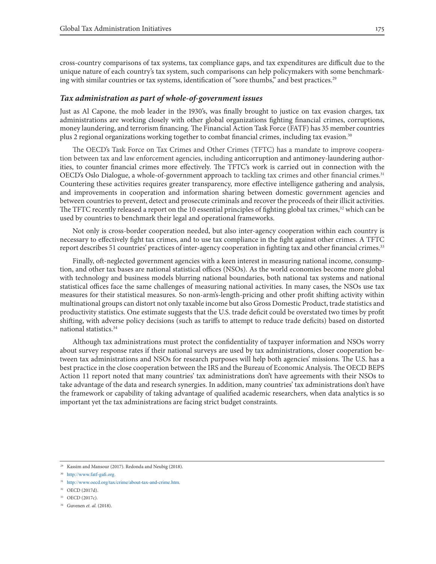cross-country comparisons of tax systems, tax compliance gaps, and tax expenditures are difficult due to the unique nature of each country's tax system, such comparisons can help policymakers with some benchmarking with similar countries or tax systems, identification of "sore thumbs," and best practices.<sup>29</sup>

#### *Tax administration as part of whole-of-government issues*

Just as Al Capone, the mob leader in the 1930's, was finally brought to justice on tax evasion charges, tax administrations are working closely with other global organizations fighting financial crimes, corruptions, money laundering, and terrorism financing. The Financial Action Task Force (FATF) has 35 member countries plus 2 regional organizations working together to combat financial crimes, including tax evasion.<sup>30</sup>

The OECD's Task Force on Tax Crimes and Other Crimes (TFTC) has a mandate to improve cooperation between tax and law enforcement agencies, including anticorruption and antimoney-laundering authorities, to counter financial crimes more effectively. The TFTC's work is carried out in connection with the OECD's Oslo Dialogue, a whole-of-government approach to tackling tax crimes and other financial crimes.<sup>31</sup> Countering these activities requires greater transparency, more effective intelligence gathering and analysis, and improvements in cooperation and information sharing between domestic government agencies and between countries to prevent, detect and prosecute criminals and recover the proceeds of their illicit activities. The TFTC recently released a report on the 10 essential principles of fighting global tax crimes,<sup>32</sup> which can be used by countries to benchmark their legal and operational frameworks.

Not only is cross-border cooperation needed, but also inter-agency cooperation within each country is necessary to effectively fight tax crimes, and to use tax compliance in the fight against other crimes. A TFTC report describes 51 countries' practices of inter-agency cooperation in fighting tax and other financial crimes.<sup>33</sup>

Finally, oft-neglected government agencies with a keen interest in measuring national income, consumption, and other tax bases are national statistical offices (NSOs). As the world economies become more global with technology and business models blurring national boundaries, both national tax systems and national statistical offices face the same challenges of measuring national activities. In many cases, the NSOs use tax measures for their statistical measures. So non-arm's-length-pricing and other profit shifting activity within multinational groups can distort not only taxable income but also Gross Domestic Product, trade statistics and productivity statistics. One estimate suggests that the U.S. trade deficit could be overstated two times by profit shifting, with adverse policy decisions (such as tariffs to attempt to reduce trade deficits) based on distorted national statistics.34

Although tax administrations must protect the confidentiality of taxpayer information and NSOs worry about survey response rates if their national surveys are used by tax administrations, closer cooperation between tax administrations and NSOs for research purposes will help both agencies' missions. The U.S. has a best practice in the close cooperation between the IRS and the Bureau of Economic Analysis. The OECD BEPS Action 11 report noted that many countries' tax administrations don't have agreements with their NSOs to take advantage of the data and research synergies. In addition, many countries' tax administrations don't have the framework or capability of taking advantage of qualified academic researchers, when data analytics is so important yet the tax administrations are facing strict budget constraints.

<sup>29</sup> Kassim and Mansour (2017). Redonda and Neubig (2018).

<sup>30</sup> http://www.fatf-gafi.org.

<sup>31</sup> http://www.oecd.org/tax/crime/about-tax-and-crime.htm.

<sup>32</sup> OECD (2017d).

<sup>33</sup> OECD (2017c).

<sup>34</sup> Guvenen *et. al.* (2018).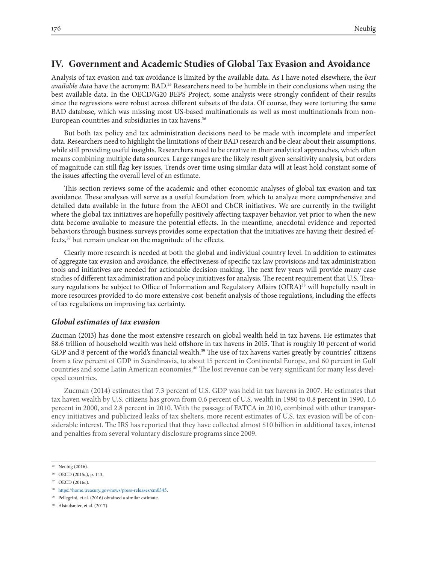## **IV. Government and Academic Studies of Global Tax Evasion and Avoidance**

Analysis of tax evasion and tax avoidance is limited by the available data. As I have noted elsewhere, the *best available data* have the acronym: BAD.35 Researchers need to be humble in their conclusions when using the best available data. In the OECD/G20 BEPS Project, some analysts were strongly confident of their results since the regressions were robust across different subsets of the data. Of course, they were torturing the same BAD database, which was missing most US-based multinationals as well as most multinationals from non-European countries and subsidiaries in tax havens.<sup>36</sup>

But both tax policy and tax administration decisions need to be made with incomplete and imperfect data. Researchers need to highlight the limitations of their BAD research and be clear about their assumptions, while still providing useful insights. Researchers need to be creative in their analytical approaches, which often means combining multiple data sources. Large ranges are the likely result given sensitivity analysis, but orders of magnitude can still flag key issues. Trends over time using similar data will at least hold constant some of the issues affecting the overall level of an estimate.

This section reviews some of the academic and other economic analyses of global tax evasion and tax avoidance. These analyses will serve as a useful foundation from which to analyze more comprehensive and detailed data available in the future from the AEOI and CbCR initiatives. We are currently in the twilight where the global tax initiatives are hopefully positively affecting taxpayer behavior, yet prior to when the new data become available to measure the potential effects. In the meantime, anecdotal evidence and reported behaviors through business surveys provides some expectation that the initiatives are having their desired effects,37 but remain unclear on the magnitude of the effects.

Clearly more research is needed at both the global and individual country level. In addition to estimates of aggregate tax evasion and avoidance, the effectiveness of specific tax law provisions and tax administration tools and initiatives are needed for actionable decision-making. The next few years will provide many case studies of different tax administration and policy initiatives for analysis. The recent requirement that U.S. Treasury regulations be subject to Office of Information and Regulatory Affairs (OIRA)<sup>38</sup> will hopefully result in more resources provided to do more extensive cost-benefit analysis of those regulations, including the effects of tax regulations on improving tax certainty.

#### *Global estimates of tax evasion*

Zucman (2013) has done the most extensive research on global wealth held in tax havens. He estimates that \$8.6 trillion of household wealth was held offshore in tax havens in 2015. That is roughly 10 percent of world GDP and 8 percent of the world's financial wealth.<sup>39</sup> The use of tax havens varies greatly by countries' citizens from a few percent of GDP in Scandinavia, to about 15 percent in Continental Europe, and 60 percent in Gulf countries and some Latin American economies.40 The lost revenue can be very significant for many less developed countries.

Zucman (2014) estimates that 7.3 percent of U.S. GDP was held in tax havens in 2007. He estimates that tax haven wealth by U.S. citizens has grown from 0.6 percent of U.S. wealth in 1980 to 0.8 percent in 1990, 1.6 percent in 2000, and 2.8 percent in 2010. With the passage of FATCA in 2010, combined with other transparency initiatives and publicized leaks of tax shelters, more recent estimates of U.S. tax evasion will be of considerable interest. The IRS has reported that they have collected almost \$10 billion in additional taxes, interest and penalties from several voluntary disclosure programs since 2009.

<sup>35</sup> Neubig (2016).

<sup>36</sup> OECD (2015c), p. 143.

<sup>37</sup> OECD (2016c).

<sup>38</sup> https://home.treasury.gov/news/press-releases/sm0345.

<sup>39</sup> Pellegrini, et.al. (2016) obtained a similar estimate.

<sup>40</sup> Alstadsæter, et al. (2017).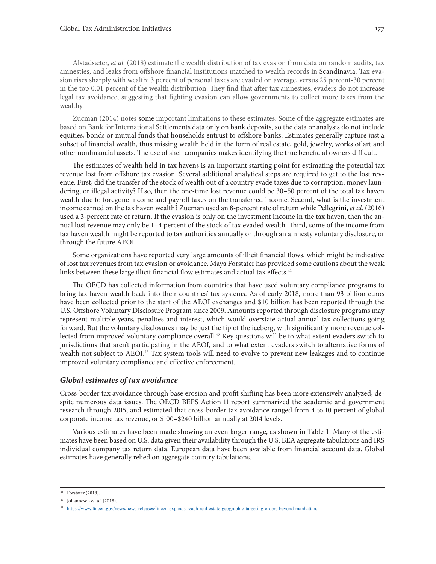Alstadsæter, *et al.* (2018) estimate the wealth distribution of tax evasion from data on random audits, tax amnesties, and leaks from offshore financial institutions matched to wealth records in Scandinavia. Tax evasion rises sharply with wealth: 3 percent of personal taxes are evaded on average, versus 25 percent-30 percent in the top 0.01 percent of the wealth distribution. They find that after tax amnesties, evaders do not increase legal tax avoidance, suggesting that fighting evasion can allow governments to collect more taxes from the wealthy.

Zucman (2014) notes some important limitations to these estimates. Some of the aggregate estimates are based on Bank for International Settlements data only on bank deposits, so the data or analysis do not include equities, bonds or mutual funds that households entrust to offshore banks. Estimates generally capture just a subset of financial wealth, thus missing wealth held in the form of real estate, gold, jewelry, works of art and other nonfinancial assets. The use of shell companies makes identifying the true beneficial owners difficult.

The estimates of wealth held in tax havens is an important starting point for estimating the potential tax revenue lost from offshore tax evasion. Several additional analytical steps are required to get to the lost revenue. First, did the transfer of the stock of wealth out of a country evade taxes due to corruption, money laundering, or illegal activity? If so, then the one-time lost revenue could be 30–50 percent of the total tax haven wealth due to foregone income and payroll taxes on the transferred income. Second, what is the investment income earned on the tax haven wealth? Zucman used an 8-percent rate of return while Pellegrini, *et al.* (2016) used a 3-percent rate of return. If the evasion is only on the investment income in the tax haven, then the annual lost revenue may only be 1–4 percent of the stock of tax evaded wealth. Third, some of the income from tax haven wealth might be reported to tax authorities annually or through an amnesty voluntary disclosure, or through the future AEOI.

Some organizations have reported very large amounts of illicit financial flows, which might be indicative of lost tax revenues from tax evasion or avoidance. Maya Forstater has provided some cautions about the weak links between these large illicit financial flow estimates and actual tax effects.<sup>41</sup>

The OECD has collected information from countries that have used voluntary compliance programs to bring tax haven wealth back into their countries' tax systems. As of early 2018, more than 93 billion euros have been collected prior to the start of the AEOI exchanges and \$10 billion has been reported through the U.S. Offshore Voluntary Disclosure Program since 2009. Amounts reported through disclosure programs may represent multiple years, penalties and interest, which would overstate actual annual tax collections going forward. But the voluntary disclosures may be just the tip of the iceberg, with significantly more revenue collected from improved voluntary compliance overall.<sup>42</sup> Key questions will be to what extent evaders switch to jurisdictions that aren't participating in the AEOI, and to what extent evaders switch to alternative forms of wealth not subject to AEOI.<sup>43</sup> Tax system tools will need to evolve to prevent new leakages and to continue improved voluntary compliance and effective enforcement.

#### *Global estimates of tax avoidance*

Cross-border tax avoidance through base erosion and profit shifting has been more extensively analyzed, despite numerous data issues. The OECD BEPS Action 11 report summarized the academic and government research through 2015, and estimated that cross-border tax avoidance ranged from 4 to 10 percent of global corporate income tax revenue, or \$100–\$240 billion annually at 2014 levels.

Various estimates have been made showing an even larger range, as shown in Table 1. Many of the estimates have been based on U.S. data given their availability through the U.S. BEA aggregate tabulations and IRS individual company tax return data. European data have been available from financial account data. Global estimates have generally relied on aggregate country tabulations.

Forstater (2018).

<sup>42</sup> Johannesen *et. al.* (2018).

<sup>43</sup> https://www.fincen.gov/news/news-releases/fincen-expands-reach-real-estate-geographic-targeting-orders-beyond-manhattan.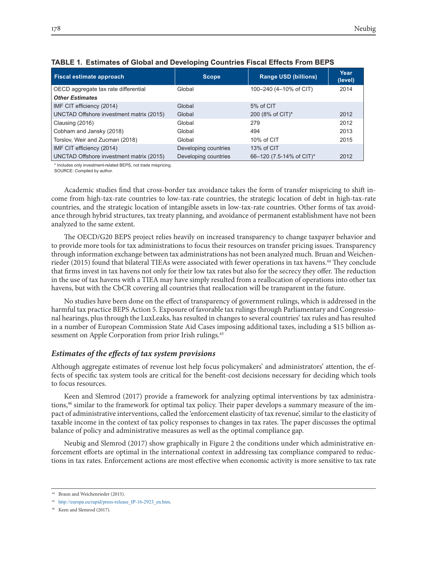| <b>Fiscal estimate approach</b>          | <b>Scope</b>         | <b>Range USD (billions)</b> | Year<br>(level) |
|------------------------------------------|----------------------|-----------------------------|-----------------|
| OECD aggregate tax rate differential     | Global               | 100-240 (4-10% of CIT)      | 2014            |
| <b>Other Estimates</b>                   |                      |                             |                 |
| IMF CIT efficiency (2014)                | Global               | 5% of CIT                   |                 |
| UNCTAD Offshore investment matrix (2015) | Global               | 200 (8% of CIT)*            | 2012            |
| Clausing (2016)                          | Global               | 279                         | 2012            |
| Cobham and Jansky (2018)                 | Global               | 494                         | 2013            |
| Torslov, Weir and Zucman (2018)          | Global               | 10% of CIT                  | 2015            |
| IMF CIT efficiency (2014)                | Developing countries | 13% of CIT                  |                 |
| UNCTAD Offshore investment matrix (2015) | Developing countries | 66-120 (7.5-14% of CIT)*    | 2012            |

#### **TABLE 1. Estimates of Global and Developing Countries Fiscal Effects From BEPS**

\* Includes only investment-related BEPS, not trade mispricing.

SOURCE: Compiled by author.

Academic studies find that cross-border tax avoidance takes the form of transfer mispricing to shift income from high-tax-rate countries to low-tax-rate countries, the strategic location of debt in high-tax-rate countries, and the strategic location of intangible assets in low-tax-rate countries. Other forms of tax avoidance through hybrid structures, tax treaty planning, and avoidance of permanent establishment have not been analyzed to the same extent.

The OECD/G20 BEPS project relies heavily on increased transparency to change taxpayer behavior and to provide more tools for tax administrations to focus their resources on transfer pricing issues. Transparency through information exchange between tax administrations has not been analyzed much. Bruan and Weichenrieder (2015) found that bilateral TIEAs were associated with fewer operations in tax havens.<sup>44</sup> They conclude that firms invest in tax havens not only for their low tax rates but also for the secrecy they offer. The reduction in the use of tax havens with a TIEA may have simply resulted from a reallocation of operations into other tax havens, but with the CbCR covering all countries that reallocation will be transparent in the future.

No studies have been done on the effect of transparency of government rulings, which is addressed in the harmful tax practice BEPS Action 5. Exposure of favorable tax rulings through Parliamentary and Congressional hearings, plus through the LuxLeaks, has resulted in changes to several countries' tax rules and has resulted in a number of European Commission State Aid Cases imposing additional taxes, including a \$15 billion assessment on Apple Corporation from prior Irish rulings.45

#### *Estimates of the effects of tax system provisions*

Although aggregate estimates of revenue lost help focus policymakers' and administrators' attention, the effects of specific tax system tools are critical for the benefit-cost decisions necessary for deciding which tools to focus resources.

Keen and Slemrod (2017) provide a framework for analyzing optimal interventions by tax administrations,<sup>46</sup> similar to the framework for optimal tax policy. Their paper develops a summary measure of the impact of administrative interventions, called the 'enforcement elasticity of tax revenue', similar to the elasticity of taxable income in the context of tax policy responses to changes in tax rates. The paper discusses the optimal balance of policy and administrative measures as well as the optimal compliance gap.

Neubig and Slemrod (2017) show graphically in Figure 2 the conditions under which administrative enforcement efforts are optimal in the international context in addressing tax compliance compared to reductions in tax rates. Enforcement actions are most effective when economic activity is more sensitive to tax rate

<sup>44</sup> Braun and Weichenrieder (2015).

<sup>45</sup> http://europa.eu/rapid/press-release\_IP-16-2923\_en.htm.

<sup>46</sup> Keen and Slemrod (2017).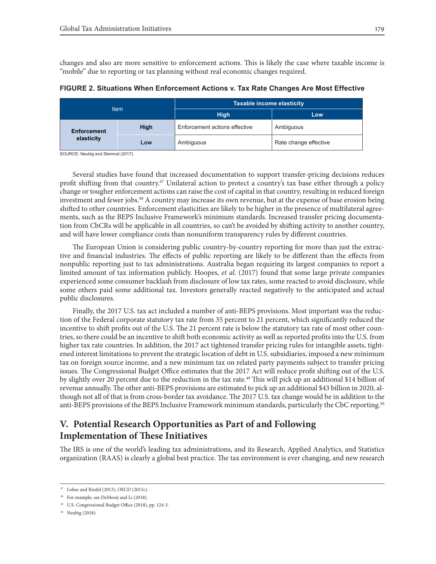changes and also are more sensitive to enforcement actions. This is likely the case where taxable income is "mobile" due to reporting or tax planning without real economic changes required.

**FIGURE 2. Situations When Enforcement Actions v. Tax Rate Changes Are Most Effective**

| <b>Item</b> |                                  |             | <b>Taxable income elasticity</b> |                       |  |
|-------------|----------------------------------|-------------|----------------------------------|-----------------------|--|
|             |                                  |             | <b>High</b>                      | Low                   |  |
|             | <b>Enforcement</b><br>elasticity | <b>High</b> | Enforcement actions effective    | Ambiguous             |  |
|             |                                  | Low         | Ambiguous                        | Rate change effective |  |

SOURCE: Neubig and Slemrod (2017).

Several studies have found that increased documentation to support transfer-pricing decisions reduces profit shifting from that country.<sup>47</sup> Unilateral action to protect a country's tax base either through a policy change or tougher enforcement actions can raise the cost of capital in that country, resulting in reduced foreign investment and fewer jobs.48 A country may increase its own revenue, but at the expense of base erosion being shifted to other countries. Enforcement elasticities are likely to be higher in the presence of multilateral agreements, such as the BEPS Inclusive Framework's minimum standards. Increased transfer pricing documentation from CbCRs will be applicable in all countries, so can't be avoided by shifting activity to another country, and will have lower compliance costs than nonuniform transparency rules by different countries.

The European Union is considering public country-by-country reporting for more than just the extractive and financial industries. The effects of public reporting are likely to be different than the effects from nonpublic reporting just to tax administrations. Australia began requiring its largest companies to report a limited amount of tax information publicly. Hoopes, *et al.* (2017) found that some large private companies experienced some consumer backlash from disclosure of low tax rates, some reacted to avoid disclosure, while some others paid some additional tax. Investors generally reacted negatively to the anticipated and actual public disclosures.

Finally, the 2017 U.S. tax act included a number of anti-BEPS provisions. Most important was the reduction of the Federal corporate statutory tax rate from 35 percent to 21 percent, which significantly reduced the incentive to shift profits out of the U.S. The 21 percent rate is below the statutory tax rate of most other countries, so there could be an incentive to shift both economic activity as well as reported profits into the U.S. from higher tax rate countries. In addition, the 2017 act tightened transfer pricing rules for intangible assets, tightened interest limitations to prevent the strategic location of debt in U.S. subsidiaries, imposed a new minimum tax on foreign source income, and a new minimum tax on related party payments subject to transfer pricing issues. The Congressional Budget Office estimates that the 2017 Act will reduce profit shifting out of the U.S. by slightly over 20 percent due to the reduction in the tax rate.<sup>49</sup> This will pick up an additional \$14 billion of revenue annually. The other anti-BEPS provisions are estimated to pick up an additional \$43 billion in 2020, although not all of that is from cross-border tax avoidance. The 2017 U.S. tax change would be in addition to the anti-BEPS provisions of the BEPS Inclusive Framework minimum standards, particularly the CbC reporting.<sup>50</sup>

# **V. Potential Research Opportunities as Part of and Following Implementation of These Initiatives**

The IRS is one of the world's leading tax administrations, and its Research, Applied Analytics, and Statistics organization (RAAS) is clearly a global best practice. The tax environment is ever changing, and new research

 $47$  Lohse and Riedel (2013), OECD (2015c).

<sup>48</sup> For example, see DeMooij and Li (2018).

<sup>49</sup> U.S. Congressional Budget Office (2018), pp. 124-5.

<sup>50</sup> Neubig (2018).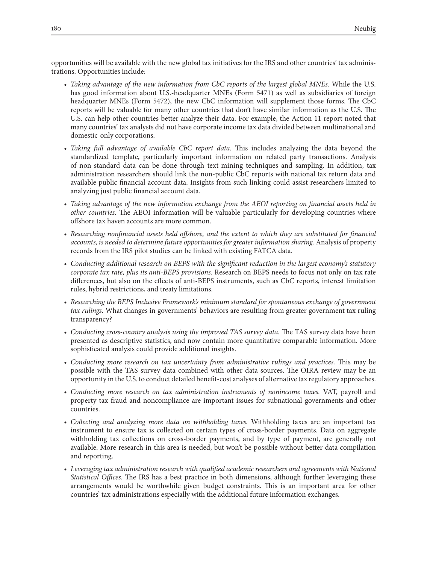opportunities will be available with the new global tax initiatives for the IRS and other countries' tax administrations. Opportunities include:

- *• Taking advantage of the new information from CbC reports of the largest global MNEs.* While the U.S. has good information about U.S.-headquarter MNEs (Form 5471) as well as subsidiaries of foreign headquarter MNEs (Form 5472), the new CbC information will supplement those forms. The CbC reports will be valuable for many other countries that don't have similar information as the U.S. The U.S. can help other countries better analyze their data. For example, the Action 11 report noted that many countries' tax analysts did not have corporate income tax data divided between multinational and domestic-only corporations.
- *• Taking full advantage of available CbC report data.* This includes analyzing the data beyond the standardized template, particularly important information on related party transactions. Analysis of non-standard data can be done through text-mining techniques and sampling. In addition, tax administration researchers should link the non-public CbC reports with national tax return data and available public financial account data. Insights from such linking could assist researchers limited to analyzing just public financial account data.
- *• Taking advantage of the new information exchange from the AEOI reporting on financial assets held in other countries.* The AEOI information will be valuable particularly for developing countries where offshore tax haven accounts are more common.
- Researching nonfinancial assets held offshore, and the extent to which they are substituted for financial *accounts, is needed to determine future opportunities for greater information sharing.* Analysis of property records from the IRS pilot studies can be linked with existing FATCA data.
- Conducting additional research on BEPS with the significant reduction in the largest economy's statutory *corporate tax rate, plus its anti-BEPS provisions.* Research on BEPS needs to focus not only on tax rate differences, but also on the effects of anti-BEPS instruments, such as CbC reports, interest limitation rules, hybrid restrictions, and treaty limitations.
- Researching the BEPS Inclusive Framework's minimum standard for spontaneous exchange of government *tax rulings.* What changes in governments' behaviors are resulting from greater government tax ruling transparency?
- *• Conducting cross-country analysis using the improved TAS survey data.* The TAS survey data have been presented as descriptive statistics, and now contain more quantitative comparable information. More sophisticated analysis could provide additional insights.
- *• Conducting more research on tax uncertainty from administrative rulings and practices.* This may be possible with the TAS survey data combined with other data sources. The OIRA review may be an opportunity in the U.S. to conduct detailed benefit-cost analyses of alternative tax regulatory approaches.
- *• Conducting more research on tax administration instruments of nonincome taxes.* VAT, payroll and property tax fraud and noncompliance are important issues for subnational governments and other countries.
- *• Collecting and analyzing more data on withholding taxes.* Withholding taxes are an important tax instrument to ensure tax is collected on certain types of cross-border payments. Data on aggregate withholding tax collections on cross-border payments, and by type of payment, are generally not available. More research in this area is needed, but won't be possible without better data compilation and reporting.
- Leveraging tax administration research with qualified academic researchers and agreements with National *Statistical Offices.* The IRS has a best practice in both dimensions, although further leveraging these arrangements would be worthwhile given budget constraints. This is an important area for other countries' tax administrations especially with the additional future information exchanges.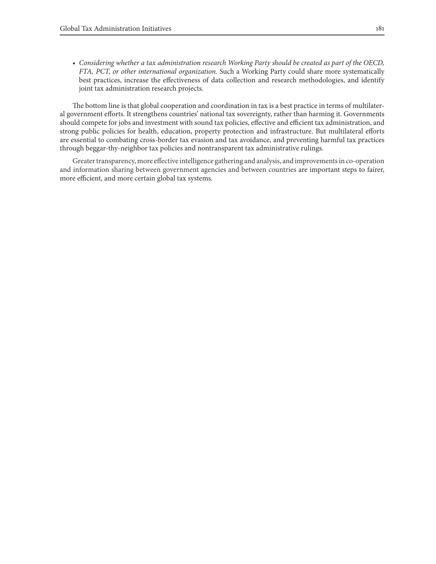*• Considering whether a tax administration research Working Party should be created as part of the OECD, FTA, PCT, or other international organization.* Such a Working Party could share more systematically best practices, increase the effectiveness of data collection and research methodologies, and identify joint tax administration research projects.

The bottom line is that global cooperation and coordination in tax is a best practice in terms of multilateral government efforts. It strengthens countries' national tax sovereignty, rather than harming it. Governments should compete for jobs and investment with sound tax policies, effective and efficient tax administration, and strong public policies for health, education, property protection and infrastructure. But multilateral efforts are essential to combating cross-border tax evasion and tax avoidance, and preventing harmful tax practices through beggar-thy-neighbor tax policies and nontransparent tax administrative rulings.

Greater transparency, more effective intelligence gathering and analysis, and improvements in co-operation and information sharing between government agencies and between countries are important steps to fairer, more efficient, and more certain global tax systems.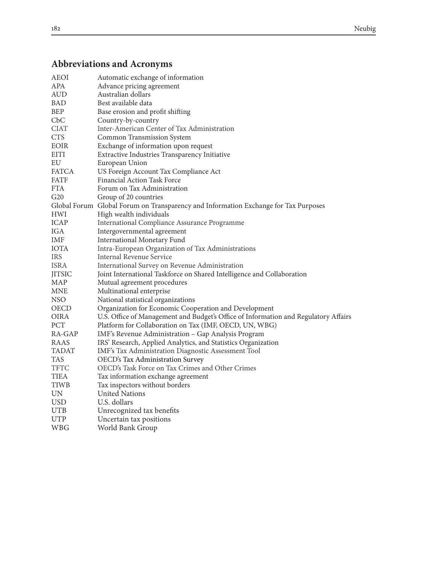# **Abbreviations and Acronyms**

| <b>AEOI</b>              | Automatic exchange of information                                                   |
|--------------------------|-------------------------------------------------------------------------------------|
| <b>APA</b>               | Advance pricing agreement                                                           |
| <b>AUD</b>               | Australian dollars                                                                  |
| BAD                      | Best available data                                                                 |
| <b>BEP</b>               | Base erosion and profit shifting                                                    |
| Cbc                      | Country-by-country                                                                  |
| <b>CIAT</b>              | Inter-American Center of Tax Administration                                         |
| <b>CTS</b>               | Common Transmission System                                                          |
| <b>EOIR</b>              | Exchange of information upon request                                                |
| EITI                     | Extractive Industries Transparency Initiative                                       |
| EU                       | European Union                                                                      |
| <b>FATCA</b>             | US Foreign Account Tax Compliance Act                                               |
| <b>FATF</b>              | <b>Financial Action Task Force</b>                                                  |
| <b>FTA</b>               | Forum on Tax Administration                                                         |
| G20                      | Group of 20 countries                                                               |
|                          | Global Forum Global Forum on Transparency and Information Exchange for Tax Purposes |
| <b>HWI</b>               | High wealth individuals                                                             |
| ICAP                     | International Compliance Assurance Programme                                        |
| IGA                      | Intergovernmental agreement                                                         |
| IMF                      | <b>International Monetary Fund</b>                                                  |
| <b>IOTA</b>              | Intra-European Organization of Tax Administrations                                  |
| <b>IRS</b>               | <b>Internal Revenue Service</b>                                                     |
| <b>ISRA</b>              | International Survey on Revenue Administration                                      |
| <b>JITSIC</b>            | Joint International Taskforce on Shared Intelligence and Collaboration              |
| <b>MAP</b>               | Mutual agreement procedures                                                         |
| <b>MNE</b>               | Multinational enterprise                                                            |
| NSO                      | National statistical organizations                                                  |
| <b>OECD</b>              | Organization for Economic Cooperation and Development                               |
| <b>OIRA</b>              | U.S. Office of Management and Budget's Office of Information and Regulatory Affairs |
| PCT                      | Platform for Collaboration on Tax (IMF, OECD, UN, WBG)                              |
| RA-GAP                   | IMF's Revenue Administration - Gap Analysis Program                                 |
| RAAS                     | IRS' Research, Applied Analytics, and Statistics Organization                       |
| TADAT                    | IMF's Tax Administration Diagnostic Assessment Tool                                 |
| TAS                      | OECD's Tax Administration Survey                                                    |
| <b>TFTC</b>              | OECD's Task Force on Tax Crimes and Other Crimes                                    |
| <b>TIEA</b>              | Tax information exchange agreement                                                  |
| TIWB                     | Tax inspectors without borders                                                      |
| $\ensuremath{\text{UN}}$ | <b>United Nations</b>                                                               |
| <b>USD</b>               | U.S. dollars                                                                        |
| <b>UTB</b>               | Unrecognized tax benefits                                                           |
| <b>UTP</b>               | Uncertain tax positions                                                             |
| <b>WBG</b>               | World Bank Group                                                                    |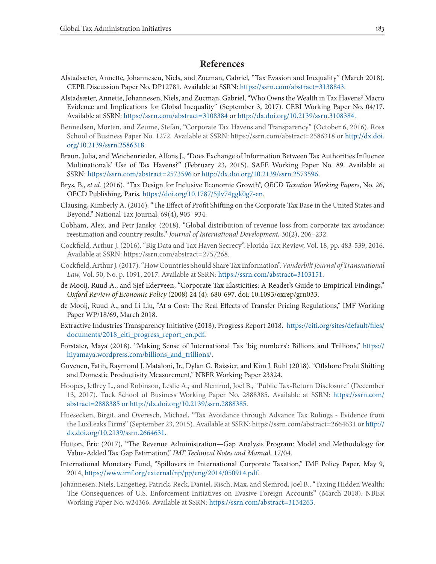### **References**

- Alstadsæter, Annette, Johannesen, Niels, and Zucman, Gabriel, "Tax Evasion and Inequality" (March 2018). CEPR Discussion Paper No. DP12781. Available at SSRN: https://ssrn.com/abstract=3138843.
- Alstadsæter, Annette, Johannesen, Niels, and Zucman, Gabriel, "Who Owns the Wealth in Tax Havens? Macro Evidence and Implications for Global Inequality" (September 3, 2017). CEBI Working Paper No. 04/17. Available at SSRN: https://ssrn.com/abstract=3108384 or http://dx.doi.org/10.2139/ssrn.3108384.
- Bennedsen, Morten, and Zeume, Stefan, "Corporate Tax Havens and Transparency" (October 6, 2016). Ross School of Business Paper No. 1272. Available at SSRN: https://ssrn.com/abstract=2586318 or http://dx.doi. org/10.2139/ssrn.2586318.
- Braun, Julia, and Weichenrieder, Alfons J., "Does Exchange of Information Between Tax Authorities Influence Multinationals' Use of Tax Havens?" (February 23, 2015). SAFE Working Paper No. 89. Available at SSRN: https://ssrn.com/abstract=2573596 or http://dx.doi.org/10.2139/ssrn.2573596.
- Brys, B., *et al.* (2016). "Tax Design for Inclusive Economic Growth", *OECD Taxation Working Papers*, No. 26, OECD Publishing, Paris, https://doi.org/10.1787/5jlv74ggk0g7-en.
- Clausing, Kimberly A. (2016). "The Effect of Profit Shifting on the Corporate Tax Base in the United States and Beyond." National Tax Journal, 69(4), 905–934.
- Cobham, Alex, and Petr Jansky. (2018). "Global distribution of revenue loss from corporate tax avoidance: reestimation and country results." *Journal of International Development,* 30(2), 206–232.
- Cockfield, Arthur J. (2016). "Big Data and Tax Haven Secrecy". Florida Tax Review, Vol. 18, pp. 483-539, 2016. Available at SSRN: https://ssrn.com/abstract=2757268.
- Cockfield, Arthur J. (2017). "How Countries Should Share Tax Information". *Vanderbilt Journal of Transnational Law,* Vol. 50, No. p. 1091, 2017. Available at SSRN: https://ssrn.com/abstract=3103151.
- de Mooij, Ruud A., and Sjef Ederveen, "Corporate Tax Elasticities: A Reader's Guide to Empirical Findings," *Oxford Review of Economic Policy* (2008) 24 (4): 680-697. doi: 10.1093/oxrep/grn033.
- de Mooij, Ruud A., and Li Liu, "At a Cost: The Real Effects of Transfer Pricing Regulations," IMF Working Paper WP/18/69, March 2018.
- Extractive Industries Transparency Initiative (2018), Progress Report 2018. https://eiti.org/sites/default/files/ documents/2018\_eiti\_progress\_report\_en.pdf.
- Forstater, Maya (2018). "Making Sense of International Tax 'big numbers': Billions and Trillions," https:// hiyamaya.wordpress.com/billions\_and\_trillions/.
- Guvenen, Fatih, Raymond J. Mataloni, Jr., Dylan G. Raissier, and Kim J. Ruhl (2018). "Offshore Profit Shifting and Domestic Productivity Measurement," NBER Working Paper 23324.
- Hoopes, Jeffrey L., and Robinson, Leslie A., and Slemrod, Joel B., "Public Tax-Return Disclosure" (December 13, 2017). Tuck School of Business Working Paper No. 2888385. Available at SSRN: https://ssrn.com/ abstract=2888385 or http://dx.doi.org/10.2139/ssrn.2888385.
- Huesecken, Birgit, and Overesch, Michael, "Tax Avoidance through Advance Tax Rulings Evidence from the LuxLeaks Firms" (September 23, 2015). Available at SSRN: https://ssrn.com/abstract=2664631 or http:// dx.doi.org/10.2139/ssrn.2664631.
- Hutton, Eric (2017), "The Revenue Administration—Gap Analysis Program: Model and Methodology for Value-Added Tax Gap Estimation," *IMF Technical Notes and Manual,* 17/04.
- International Monetary Fund, "Spillovers in International Corporate Taxation," IMF Policy Paper, May 9, 2014, https://www.imf.org/external/np/pp/eng/2014/050914.pdf.
- Johannesen, Niels, Langetieg, Patrick, Reck, Daniel, Risch, Max, and Slemrod, Joel B., "Taxing Hidden Wealth: The Consequences of U.S. Enforcement Initiatives on Evasive Foreign Accounts" (March 2018). NBER Working Paper No. w24366. Available at SSRN: https://ssrn.com/abstract=3134263.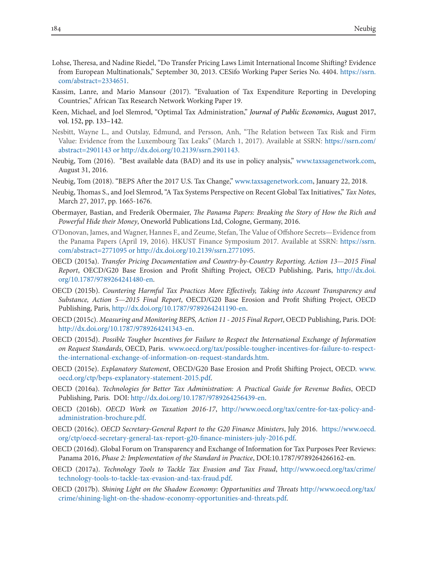- Lohse, Theresa, and Nadine Riedel, "Do Transfer Pricing Laws Limit International Income Shifting? Evidence from European Multinationals," September 30, 2013. CESifo Working Paper Series No. 4404. https://ssrn. com/abstract=2334651.
- Kassim, Lanre, and Mario Mansour (2017). "Evaluation of Tax Expenditure Reporting in Developing Countries," African Tax Research Network Working Paper 19.
- Keen, Michael, and Joel Slemrod, "Optimal Tax Administration," *Journal of Public Economics*, August 2017, vol. 152, pp. 133–142.
- Nesbitt, Wayne L., and Outslay, Edmund, and Persson, Anh, "The Relation between Tax Risk and Firm Value: Evidence from the Luxembourg Tax Leaks" (March 1, 2017). Available at SSRN: https://ssrn.com/ abstract=2901143 or http://dx.doi.org/10.2139/ssrn.2901143.
- Neubig, Tom (2016). "Best available data (BAD) and its use in policy analysis," www.taxsagenetwork.com, August 31, 2016.
- Neubig, Tom (2018). "BEPS After the 2017 U.S. Tax Change," www.taxsagenetwork.com, January 22, 2018.
- Neubig, Thomas S., and Joel Slemrod, "A Tax Systems Perspective on Recent Global Tax Initiatives," *Tax Notes*, March 27, 2017, pp. 1665-1676.
- Obermayer, Bastian, and Frederik Obermaier, *The Panama Papers: Breaking the Story of How the Rich and Powerful Hide their Money*, Oneworld Publications Ltd, Cologne, Germany, 2016.
- O'Donovan, James, and Wagner, Hannes F., and Zeume, Stefan, The Value of Offshore Secrets—Evidence from the Panama Papers (April 19, 2016). HKUST Finance Symposium 2017. Available at SSRN: https://ssrn. com/abstract=2771095 or http://dx.doi.org/10.2139/ssrn.2771095.
- OECD (2015a). *Transfer Pricing Documentation and Country-by-Country Reporting, Action 13*—*2015 Final Report*, OECD/G20 Base Erosion and Profit Shifting Project, OECD Publishing, Paris, http://dx.doi. org/10.1787/9789264241480-en.
- OECD (2015b). *Countering Harmful Tax Practices More Effectively, Taking into Account Transparency and Substance, Action 5*—*2015 Final Report*, OECD/G20 Base Erosion and Profit Shifting Project, OECD Publishing, Paris, http://dx.doi.org/10.1787/9789264241190-en.
- OECD (2015c). *Measuring and Monitoring BEPS, Action 11 2015 Final Report*, OECD Publishing, Paris. DOI: http://dx.doi.org/10.1787/9789264241343-en.
- OECD (2015d). *Possible Tougher Incentives for Failure to Respect the International Exchange of Information on Request Standards*, OECD, Paris. www.oecd.org/tax/possible-tougher-incentives-for-failure-to-respectthe-international-exchange-of-information-on-request-standards.htm.
- OECD (2015e). *Explanatory Statement*, OECD/G20 Base Erosion and Profit Shifting Project, OECD. www. oecd.org/ctp/beps-explanatory-statement-2015.pdf.
- OECD (2016a). *Technologies for Better Tax Administration: A Practical Guide for Revenue Bodies*, OECD Publishing, Paris. DOI: http://dx.doi.org/10.1787/9789264256439-en.
- OECD (2016b). *OECD Work on Taxation 2016-17*, http://www.oecd.org/tax/centre-for-tax-policy-andadministration-brochure.pdf.
- OECD (2016c). *OECD Secretary-General Report to the G20 Finance Ministers*, July 2016. https://www.oecd. org/ctp/oecd-secretary-general-tax-report-g20-finance-ministers-july-2016.pdf.
- OECD (2016d). Global Forum on Transparency and Exchange of Information for Tax Purposes Peer Reviews: Panama 2016, *Phase 2: Implementation of the Standard in Practice*, DOI:10.1787/9789264266162-en.
- OECD (2017a). *Technology Tools to Tackle Tax Evasion and Tax Fraud*, http://www.oecd.org/tax/crime/ technology-tools-to-tackle-tax-evasion-and-tax-fraud.pdf.
- OECD (2017b). *Shining Light on the Shadow Economy: Opportunities and Threats* http://www.oecd.org/tax/ crime/shining-light-on-the-shadow-economy-opportunities-and-threats.pdf.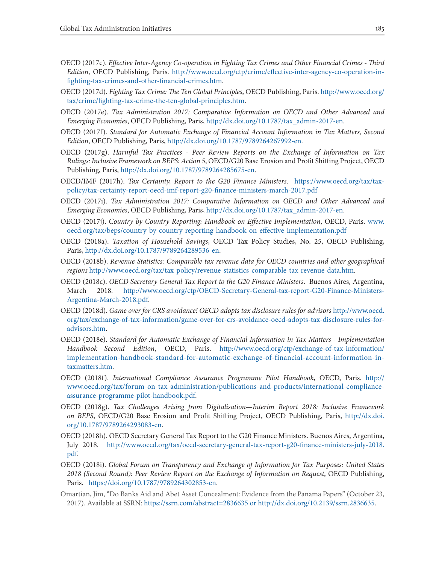- OECD (2017c). *Effective Inter-Agency Co-operation in Fighting Tax Crimes and Other Financial Crimes Third Edition*, OECD Publishing, Paris. http://www.oecd.org/ctp/crime/effective-inter-agency-co-operation-infighting-tax-crimes-and-other-financial-crimes.htm.
- OECD (2017d). *Fighting Tax Crime: The Ten Global Principles*, OECD Publishing, Paris. http://www.oecd.org/ tax/crime/fighting-tax-crime-the-ten-global-principles.htm.
- OECD (2017e). *Tax Administration 2017: Comparative Information on OECD and Other Advanced and Emerging Economies*, OECD Publishing, Paris, http://dx.doi.org/10.1787/tax\_admin-2017-en.
- OECD (2017f). *Standard for Automatic Exchange of Financial Account Information in Tax Matters, Second Edition*, OECD Publishing, Paris, http://dx.doi.org/10.1787/9789264267992-en.
- OECD (2017g). *Harmful Tax Practices Peer Review Reports on the Exchange of Information on Tax Rulings: Inclusive Framework on BEPS: Action 5*, OECD/G20 Base Erosion and Profit Shifting Project, OECD Publishing, Paris, http://dx.doi.org/10.1787/9789264285675-en.
- OECD/IMF (2017h). *Tax Certainty, Report to the G20 Finance Ministers*. https://www.oecd.org/tax/taxpolicy/tax-certainty-report-oecd-imf-report-g20-finance-ministers-march-2017.pdf
- OECD (2017i). *Tax Administration 2017: Comparative Information on OECD and Other Advanced and Emerging Economies*, OECD Publishing, Paris, http://dx.doi.org/10.1787/tax\_admin-2017-en.
- OECD (2017j). *Country-by-Country Reporting: Handbook on Effective Implementation*, OECD, Paris. www. oecd.org/tax/beps/country-by-country-reporting-handbook-on-effective-implementation.pdf
- OECD (2018a). *Taxation of Household Savings*, OECD Tax Policy Studies, No. 25, OECD Publishing, Paris, http://dx.doi.org/10.1787/9789264289536-en.
- OECD (2018b). *Revenue Statistics: Comparable tax revenue data for OECD countries and other geographical regions* http://www.oecd.org/tax/tax-policy/revenue-statistics-comparable-tax-revenue-data.htm.
- OECD (2018c). *OECD Secretary General Tax Report to the G20 Finance Ministers*. Buenos Aires, Argentina, March 2018. http://www.oecd.org/ctp/OECD-Secretary-General-tax-report-G20-Finance-Ministers-Argentina-March-2018.pdf.
- OECD (2018d). *Game over for CRS avoidance! OECD adopts tax disclosure rules for advisors* http://www.oecd. org/tax/exchange-of-tax-information/game-over-for-crs-avoidance-oecd-adopts-tax-disclosure-rules-foradvisors.htm.
- OECD (2018e). *Standard for Automatic Exchange of Financial Information in Tax Matters Implementation Handbook—Second Edition*, OECD, Paris. http://www.oecd.org/ctp/exchange-of-tax-information/ implementation-handbook-standard-for-automatic-exchange-of-financial-account-information-intaxmatters.htm.
- OECD (2018f). *International Compliance Assurance Programme Pilot Handbook*, OECD, Paris. http:// www.oecd.org/tax/forum-on-tax-administration/publications-and-products/international-complianceassurance-programme-pilot-handbook.pdf.
- OECD (2018g). *Tax Challenges Arising from Digitalisation—Interim Report 2018: Inclusive Framework on BEPS*, OECD/G20 Base Erosion and Profit Shifting Project, OECD Publishing, Paris, http://dx.doi. org/10.1787/9789264293083-en.
- OECD (2018h). OECD Secretary General Tax Report to the G20 Finance Ministers. Buenos Aires, Argentina, July 2018. http://www.oecd.org/tax/oecd-secretary-general-tax-report-g20-finance-ministers-july-2018. pdf.
- OECD (2018i). *Global Forum on Transparency and Exchange of Information for Tax Purposes: United States 2018 (Second Round): Peer Review Report on the Exchange of Information on Request*, OECD Publishing, Paris. https://doi.org/10.1787/9789264302853-en.
- Omartian, Jim, "Do Banks Aid and Abet Asset Concealment: Evidence from the Panama Papers" (October 23, 2017). Available at SSRN: https://ssrn.com/abstract=2836635 or http://dx.doi.org/10.2139/ssrn.2836635.